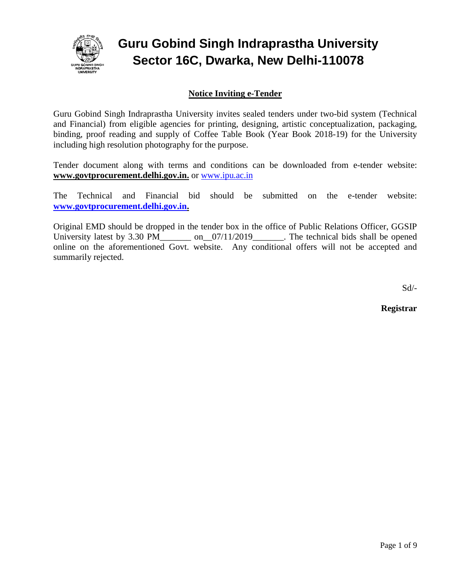

# **Guru Gobind Singh Indraprastha University Sector 16C, Dwarka, New Delhi-110078**

#### **Notice Inviting e-Tender**

Guru Gobind Singh Indraprastha University invites sealed tenders under two-bid system (Technical and Financial) from eligible agencies for printing, designing, artistic conceptualization, packaging, binding, proof reading and supply of Coffee Table Book (Year Book 2018-19) for the University including high resolution photography for the purpose.

Tender document along with terms and conditions can be downloaded from e-tender website: **www.govtprocurement.delhi.gov.in.** or [www.ipu.ac.in](http://www.ipu.ac.in/)

The Technical and Financial bid should be submitted on the e-tender website: **[www.govtprocurement.delhi.gov.in.](http://www.govtprocurement.delhi.gov.in/)** 

Original EMD should be dropped in the tender box in the office of Public Relations Officer, GGSIP University latest by 3.30 PM on  $07/11/2019$ . The technical bids shall be opened online on the aforementioned Govt. website. Any conditional offers will not be accepted and summarily rejected.

Sd/-

**Registrar**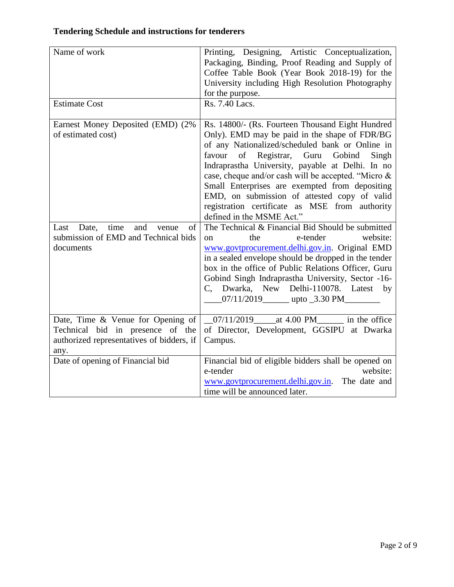## **Tendering Schedule and instructions for tenderers**

| Name of work                                | Printing, Designing, Artistic Conceptualization,      |  |  |  |
|---------------------------------------------|-------------------------------------------------------|--|--|--|
|                                             | Packaging, Binding, Proof Reading and Supply of       |  |  |  |
|                                             | Coffee Table Book (Year Book 2018-19) for the         |  |  |  |
|                                             | University including High Resolution Photography      |  |  |  |
|                                             | for the purpose.                                      |  |  |  |
| <b>Estimate Cost</b>                        | Rs. 7.40 Lacs.                                        |  |  |  |
|                                             |                                                       |  |  |  |
| Earnest Money Deposited (EMD) (2%           | Rs. 14800/- (Rs. Fourteen Thousand Eight Hundred      |  |  |  |
| of estimated cost)                          | Only). EMD may be paid in the shape of FDR/BG         |  |  |  |
|                                             | of any Nationalized/scheduled bank or Online in       |  |  |  |
|                                             | of Registrar, Guru Gobind<br>favour<br>Singh          |  |  |  |
|                                             | Indraprastha University, payable at Delhi. In no      |  |  |  |
|                                             | case, cheque and/or cash will be accepted. "Micro &   |  |  |  |
|                                             | Small Enterprises are exempted from depositing        |  |  |  |
|                                             | EMD, on submission of attested copy of valid          |  |  |  |
|                                             | registration certificate as MSE from authority        |  |  |  |
|                                             | defined in the MSME Act."                             |  |  |  |
| Date,<br>time<br>and<br>of<br>Last<br>venue | The Technical & Financial Bid Should be submitted     |  |  |  |
| submission of EMD and Technical bids        | the<br>e-tender<br>website:<br>$\Omega$               |  |  |  |
| documents                                   | www.govtprocurement.delhi.gov.in. Original EMD        |  |  |  |
|                                             | in a sealed envelope should be dropped in the tender  |  |  |  |
|                                             | box in the office of Public Relations Officer, Guru   |  |  |  |
|                                             | Gobind Singh Indraprastha University, Sector -16-     |  |  |  |
|                                             | C, Dwarka, New Delhi-110078. Latest by                |  |  |  |
|                                             | $07/11/2019$ upto _3.30 PM                            |  |  |  |
|                                             |                                                       |  |  |  |
| Date, Time & Venue for Opening of           | 07/11/2019 _______ at 4.00 PM _________ in the office |  |  |  |
| Technical bid in presence of the            | of Director, Development, GGSIPU at Dwarka            |  |  |  |
| authorized representatives of bidders, if   | Campus.                                               |  |  |  |
| any.                                        |                                                       |  |  |  |
| Date of opening of Financial bid            | Financial bid of eligible bidders shall be opened on  |  |  |  |
|                                             | e-tender<br>website:                                  |  |  |  |
|                                             | www.govtprocurement.delhi.gov.in. The date and        |  |  |  |
|                                             | time will be announced later.                         |  |  |  |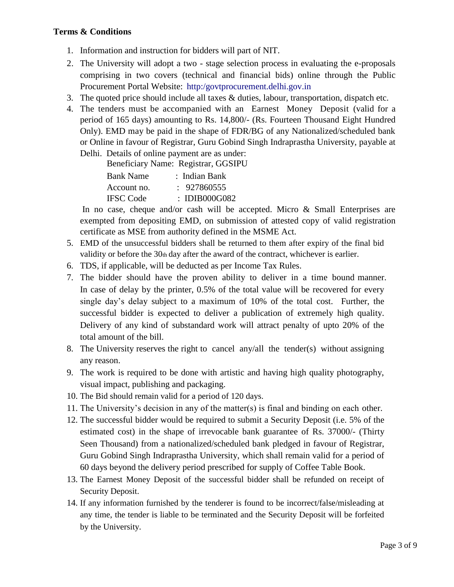#### **Terms & Conditions**

- 1. Information and instruction for bidders will part of NIT.
- 2. The University will adopt a two stage selection process in evaluating the e-proposals comprising in two covers (technical and financial bids) online through the Public Procurement Portal Website: http:/govtprocurement.delhi.gov.in
- 3. The quoted price should include all taxes & duties, labour, transportation, dispatch etc.
- 4. The tenders must be accompanied with an Earnest Money Deposit (valid for a period of 165 days) amounting to Rs. 14,800/- (Rs. Fourteen Thousand Eight Hundred Only). EMD may be paid in the shape of FDR/BG of any Nationalized/scheduled bank or Online in favour of Registrar, Guru Gobind Singh Indraprastha University, payable at Delhi. Details of online payment are as under:

|                  | Beneficiary Name: Registrar, GGSIPU |
|------------------|-------------------------------------|
| <b>Bank Name</b> | : Indian Bank                       |

| Account no. | : 927860555   |
|-------------|---------------|
| IFSC Code   | : IDIB000G082 |

In no case, cheque and/or cash will be accepted. Micro & Small Enterprises are exempted from depositing EMD, on submission of attested copy of valid registration certificate as MSE from authority defined in the MSME Act.

- 5. EMD of the unsuccessful bidders shall be returned to them after expiry of the final bid validity or before the 30th day after the award of the contract, whichever is earlier.
- 6. TDS, if applicable, will be deducted as per Income Tax Rules.
- 7. The bidder should have the proven ability to deliver in a time bound manner. In case of delay by the printer, 0.5% of the total value will be recovered for every single day's delay subject to a maximum of 10% of the total cost. Further, the successful bidder is expected to deliver a publication of extremely high quality. Delivery of any kind of substandard work will attract penalty of upto 20% of the total amount of the bill.
- 8. The University reserves the right to cancel any/all the tender(s) without assigning any reason.
- 9. The work is required to be done with artistic and having high quality photography, visual impact, publishing and packaging.
- 10. The Bid should remain valid for a period of 120 days.
- 11. The University's decision in any of the matter(s) is final and binding on each other.
- 12. The successful bidder would be required to submit a Security Deposit (i.e. 5% of the estimated cost) in the shape of irrevocable bank guarantee of Rs. 37000/- (Thirty Seen Thousand) from a nationalized/scheduled bank pledged in favour of Registrar, Guru Gobind Singh Indraprastha University, which shall remain valid for a period of 60 days beyond the delivery period prescribed for supply of Coffee Table Book.
- 13. The Earnest Money Deposit of the successful bidder shall be refunded on receipt of Security Deposit.
- 14. If any information furnished by the tenderer is found to be incorrect/false/misleading at any time, the tender is liable to be terminated and the Security Deposit will be forfeited by the University.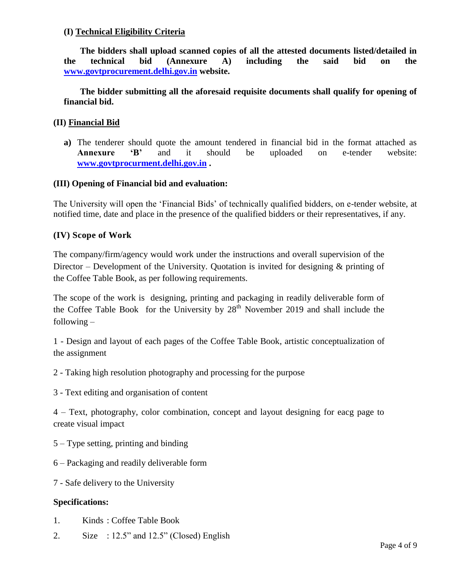#### **(I) Technical Eligibility Criteria**

**The bidders shall upload scanned copies of all the attested documents listed/detailed in the technical bid (Annexure A) including the said bid on the [www.govtprocurement.delhi.gov.in](http://www.govtprocurement.delhi.gov.in/) website.**

**The bidder submitting all the aforesaid requisite documents shall qualify for opening of financial bid.**

#### **(II) Financial Bid**

**a)** The tenderer should quote the amount tendered in financial bid in the format attached as **Annexure 'B'** and it should be uploaded on e-tender website: **[www.govtprocurment.delhi.gov.in](http://www.govtprocurment.delhi.gov.in/) .**

#### **(III) Opening of Financial bid and evaluation:**

The University will open the 'Financial Bids' of technically qualified bidders, on e-tender website, at notified time, date and place in the presence of the qualified bidders or their representatives, if any.

#### **(IV) Scope of Work**

The company/firm/agency would work under the instructions and overall supervision of the Director – Development of the University. Quotation is invited for designing  $\&$  printing of the Coffee Table Book, as per following requirements.

The scope of the work is designing, printing and packaging in readily deliverable form of the Coffee Table Book for the University by  $28<sup>th</sup>$  November 2019 and shall include the following –

1 - Design and layout of each pages of the Coffee Table Book, artistic conceptualization of the assignment

2 - Taking high resolution photography and processing for the purpose

3 - Text editing and organisation of content

4 – Text, photography, color combination, concept and layout designing for eacg page to create visual impact

- 5 Type setting, printing and binding
- 6 Packaging and readily deliverable form
- 7 Safe delivery to the University

#### **Specifications:**

- 1. Kinds : Coffee Table Book
- 2. Size :  $12.5$ " and  $12.5$ " (Closed) English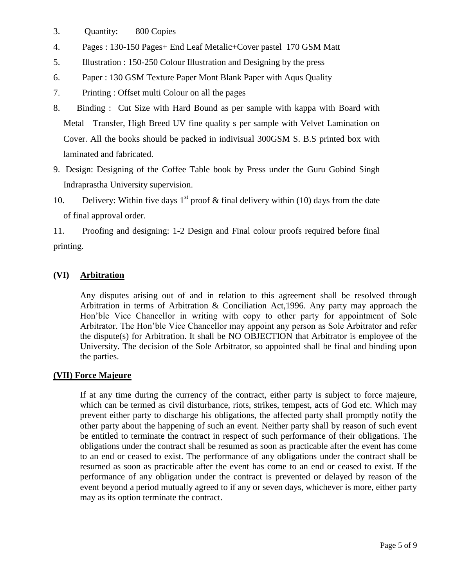- 3. Quantity: 800 Copies
- 4. Pages : 130-150 Pages+ End Leaf Metalic+Cover pastel 170 GSM Matt
- 5. Illustration : 150-250 Colour Illustration and Designing by the press
- 6. Paper : 130 GSM Texture Paper Mont Blank Paper with Aqus Quality
- 7. Printing : Offset multi Colour on all the pages
- 8. Binding : Cut Size with Hard Bound as per sample with kappa with Board with Metal Transfer, High Breed UV fine quality s per sample with Velvet Lamination on Cover. All the books should be packed in indivisual 300GSM S. B.S printed box with laminated and fabricated.
- 9. Design: Designing of the Coffee Table book by Press under the Guru Gobind Singh Indraprastha University supervision.
- 10. Delivery: Within five days 1<sup>st</sup> proof & final delivery within (10) days from the date of final approval order.

11. Proofing and designing: 1-2 Design and Final colour proofs required before final printing.

#### **(VI) Arbitration**

Any disputes arising out of and in relation to this agreement shall be resolved through Arbitration in terms of Arbitration & Conciliation Act,1996. Any party may approach the Hon'ble Vice Chancellor in writing with copy to other party for appointment of Sole Arbitrator. The Hon'ble Vice Chancellor may appoint any person as Sole Arbitrator and refer the dispute(s) for Arbitration. It shall be NO OBJECTION that Arbitrator is employee of the University. The decision of the Sole Arbitrator, so appointed shall be final and binding upon the parties.

#### **(VII) Force Majeure**

If at any time during the currency of the contract, either party is subject to force majeure, which can be termed as civil disturbance, riots, strikes, tempest, acts of God etc. Which may prevent either party to discharge his obligations, the affected party shall promptly notify the other party about the happening of such an event. Neither party shall by reason of such event be entitled to terminate the contract in respect of such performance of their obligations. The obligations under the contract shall be resumed as soon as practicable after the event has come to an end or ceased to exist. The performance of any obligations under the contract shall be resumed as soon as practicable after the event has come to an end or ceased to exist. If the performance of any obligation under the contract is prevented or delayed by reason of the event beyond a period mutually agreed to if any or seven days, whichever is more, either party may as its option terminate the contract.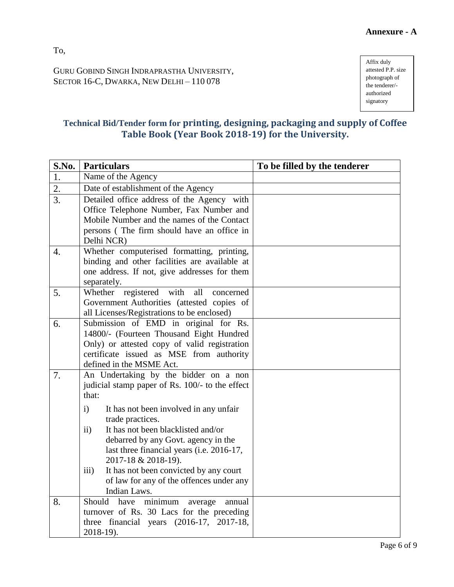To,

GURU GOBIND SINGH INDRAPRASTHA UNIVERSITY, SECTOR 16-C, DWARKA, NEW DELHI – 110 078

Affix duly attested P.P. size photograph of the tenderer/ authorized signatory

### **Technical Bid/Tender form for printing, designing, packaging and supply of Coffee Table Book (Year Book 2018-19) for the University.**

| S.No.            | <b>Particulars</b>                                            | To be filled by the tenderer |
|------------------|---------------------------------------------------------------|------------------------------|
| 1.               | Name of the Agency                                            |                              |
| 2.               | Date of establishment of the Agency                           |                              |
| 3.               | Detailed office address of the Agency with                    |                              |
|                  | Office Telephone Number, Fax Number and                       |                              |
|                  | Mobile Number and the names of the Contact                    |                              |
|                  | persons (The firm should have an office in                    |                              |
|                  | Delhi NCR)                                                    |                              |
| $\overline{4}$ . | Whether computerised formatting, printing,                    |                              |
|                  | binding and other facilities are available at                 |                              |
|                  | one address. If not, give addresses for them                  |                              |
| 5.               | separately.<br>registered with<br>Whether<br>all<br>concerned |                              |
|                  | Government Authorities (attested copies of                    |                              |
|                  | all Licenses/Registrations to be enclosed)                    |                              |
| 6.               | Submission of EMD in original for Rs.                         |                              |
|                  | 14800/- (Fourteen Thousand Eight Hundred                      |                              |
|                  | Only) or attested copy of valid registration                  |                              |
|                  | certificate issued as MSE from authority                      |                              |
|                  | defined in the MSME Act.                                      |                              |
| 7.               | An Undertaking by the bidder on a non                         |                              |
|                  | judicial stamp paper of Rs. 100/- to the effect               |                              |
|                  | that:                                                         |                              |
|                  | $\mathbf{i}$<br>It has not been involved in any unfair        |                              |
|                  | trade practices.                                              |                              |
|                  | It has not been blacklisted and/or<br>$\rm ii)$               |                              |
|                  | debarred by any Govt. agency in the                           |                              |
|                  | last three financial years (i.e. 2016-17,                     |                              |
|                  | 2017-18 & 2018-19).                                           |                              |
|                  | It has not been convicted by any court<br>$\overline{111}$    |                              |
|                  | of law for any of the offences under any                      |                              |
| 8.               | Indian Laws.<br>Should<br>have minimum<br>annual<br>average   |                              |
|                  | turnover of Rs. 30 Lacs for the preceding                     |                              |
|                  | three financial years $(2016-17, 2017-18,$                    |                              |
|                  | 2018-19).                                                     |                              |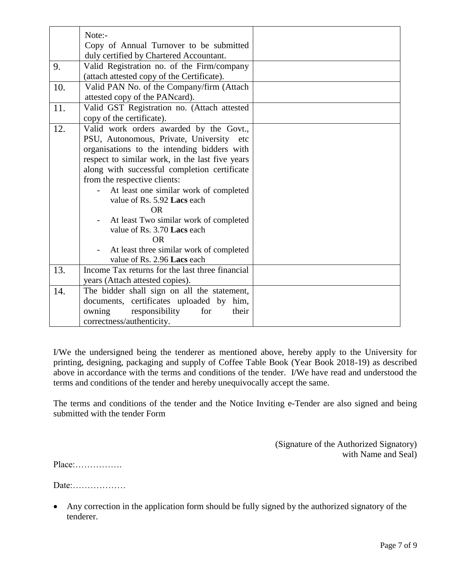|     | Note:-                                                                |  |
|-----|-----------------------------------------------------------------------|--|
|     | Copy of Annual Turnover to be submitted                               |  |
|     | duly certified by Chartered Accountant.                               |  |
| 9.  | Valid Registration no. of the Firm/company                            |  |
|     | (attach attested copy of the Certificate).                            |  |
| 10. | Valid PAN No. of the Company/firm (Attach                             |  |
|     | attested copy of the PANcard).                                        |  |
| 11. | Valid GST Registration no. (Attach attested                           |  |
|     | copy of the certificate).                                             |  |
| 12. | Valid work orders awarded by the Govt.,                               |  |
|     | PSU, Autonomous, Private, University etc                              |  |
|     | organisations to the intending bidders with                           |  |
|     | respect to similar work, in the last five years                       |  |
|     | along with successful completion certificate                          |  |
|     | from the respective clients:                                          |  |
|     | At least one similar work of completed<br>value of Rs. 5.92 Lacs each |  |
|     | <b>OR</b>                                                             |  |
|     | At least Two similar work of completed                                |  |
|     | value of Rs. 3.70 Lacs each                                           |  |
|     | <b>OR</b>                                                             |  |
|     | At least three similar work of completed                              |  |
|     | value of Rs. 2.96 Lacs each                                           |  |
| 13. | Income Tax returns for the last three financial                       |  |
|     | years (Attach attested copies).                                       |  |
| 14. | The bidder shall sign on all the statement,                           |  |
|     | documents, certificates uploaded by him,                              |  |
|     | responsibility<br>owning<br>their<br>for                              |  |
|     | correctness/authenticity.                                             |  |

I/We the undersigned being the tenderer as mentioned above, hereby apply to the University for printing, designing, packaging and supply of Coffee Table Book (Year Book 2018-19) as described above in accordance with the terms and conditions of the tender. I/We have read and understood the terms and conditions of the tender and hereby unequivocally accept the same.

The terms and conditions of the tender and the Notice Inviting e-Tender are also signed and being submitted with the tender Form

> (Signature of the Authorized Signatory) with Name and Seal)

Place:…………….

Date:………………

 Any correction in the application form should be fully signed by the authorized signatory of the tenderer.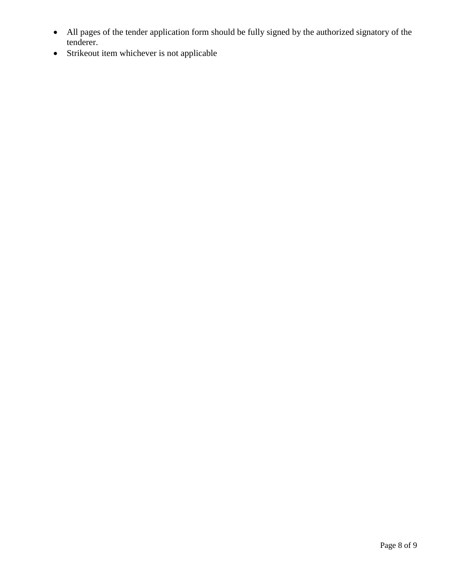- All pages of the tender application form should be fully signed by the authorized signatory of the tenderer.
- Strikeout item whichever is not applicable